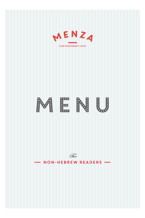



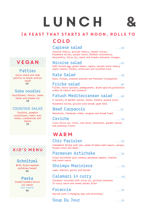# lunch &



# COLD

### **Caprese salad** *. . . 48*

Colored cherry, grilled cherry, tomato slices, Kalamata olives, purple onion, Buffalo mozzarella, bruschetta, Olive oil, basil and tomato balsamic vinegar.

### **Nicoise salad** *. . . 60*

Soft boiled egg, green beans, capers, purple onion sherry small radish, Potato, anchovies and scorched tuna

**Kale Salad** *. . . 46* Kale, Pitaya, roasted almonds and Mustard Vinaigrette

### **Fricke salad** *. . . 48*

Fricke, micro spinach, pomegranate, dried apricot,pistachios crème of tahini and turmeric

# **Fatush Mediterranean salad** *. . . 48*

A variety of garden leaves, herbs, tomato, purple onion Kalamata olives, grilles pita bread, goat feta

### **Beef Carpaccio** *. . . 52*

#### Hazelnuts, Parmesan crème, arugula and bread toast

#### **Ceviche** *. . . 58*

Local Olive oil, chili, red onion, Hazelnuts, garden leaves and seasonal Fruits

# **WARM**

### **Chic Parisien** *. . . 58*

Camembert filled with jam, salad of bakes beet pearls, pecans, Purple onion and herbs

### **Parmesan Artichoke** *. . . 38*

Fried Artichoke alla romana, parmesan papers, toastes And ranch sauce

# **Shrimps Mariniere** *. . . 68*

Leek, shallot, garlic and Hallah

# **Calamari in curry** *. . . 64*

Calamari scorched with olive oil, grilled tomatoes In curry sauce and sweet potato fries

### **Focaccia** *. . . 28*

Served with 3 changing dips and artichoke.

**Soup Du Jour** *. . . 38*

# **Patties**

Swiss chard and leek patties on black lentils salad  $60$ 

vegan

**Soba noodles**

Cauliflower, Garlic, lemon herbs and sesame oil 58

### **COUSCOUS SALAD**

Zucchini, pumpkin cauliflower, hazel nuts herbs, cranberries and tahini 52



# *Schnitzel*

With fries/mashed potatoes/salad 46

#### *Pasta*

Cream/tomato/olive oil sauce (all tasty) 44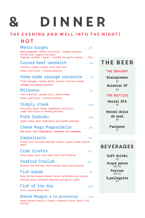# ) INNER  $\ddot{\cdots}$

### THE EVENING AND WELL INTO THE NIGHT}

# HOT

| Menza burger<br>Beef hamburger (250g) with fries / mashed potatoes                                                                   | $\ldots 65$   |
|--------------------------------------------------------------------------------------------------------------------------------------|---------------|
| Served with veggies and aioli<br>Topping: cheddar / bacon / truffle and garlic butter .7nis                                          |               |
| Corned beef sandwich<br>Lettuce, tomato, purple onion and aioli<br>Comes with fries / mashed potatoes                                | $\ldots 60$   |
| Home made sausage casserole  78<br>Three sausages, Gouda cheese, spices, Austrian styled<br>cabbage and mashed potatoes              |               |
| Milanesa<br>Veal schnitzel, wasabi aioli, lemon wedge<br>Comes with fries / mashed potatoes                                          | $\ldots 76$   |
| Simply steak<br>Entrecôte steak (300g) Vegetables and grills<br>comes with fries or mashed potatoes                                  | $\ldots$ 124  |
| Pork Osobuku<br>Apple Cider, Root Vegetables and mashed potatoes                                                                     | $\ldots\,104$ |
| <b>Cheek Ragu Pappardelle</b><br>Red wine, root Vegetables, tomatoes and rosemary                                                    | $\ldots 86$   |
| Cappellacio<br>. 68<br>Filled with articoke and goat cheese, soured crème fraîche<br>sauce                                           |               |
| Crab risotto<br>$\ldots 82$<br>Three grain rice, crab meat stock and Parmesan                                                        |               |
| <b>Seafood Challah</b><br>$\ldots$ 82<br>Oktopus and Shrimps, white butter sauce and Coleslaw                                        |               |
| Fish kebab<br>. 78<br>Bass and sea meagre kebabs, herbs, artichoke alla romana<br>Grilled onion, scorched tomatoes and garlic confit |               |
| Fish of the day<br>$\ldots$ 109<br>Grill roasted whole fish                                                                          |               |

Baked Meagre a la provencal  $\ldots$  129 Sweet potato Ravioli, Tomato, Kalamata Olive, Gerlic and Parsley

# THE BEER

THE DRAUGHT

Staropramen  $27$ 

Goldstar UF 25

#### THE BOTTLES

**Herzel IPA** 32

**Herzel** dolce da asal  $32$ 

> Paulaner  $27$

# BEVERAGES

Soft drinks  $12$ **Acqua panna**  $24/12$ 

> Perrier  $20/12$

**S.pellegrino**  $23$